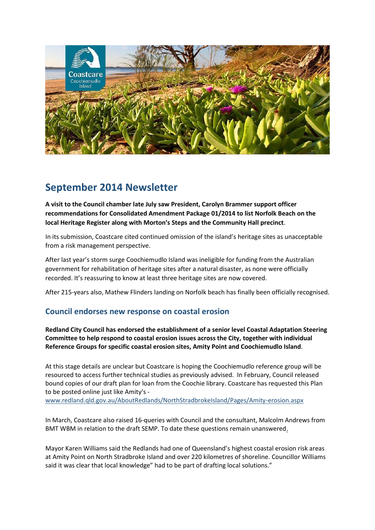

# **September 2014 Newsletter**

**A visit to the Council chamber late July saw President, Carolyn Brammer support officer recommendations for Consolidated Amendment Package 01/2014 to list Norfolk Beach on the local Heritage Register along with Morton's Steps and the Community Hall precinct**.

In its submission, Coastcare cited continued omission of the island's heritage sites as unacceptable from a risk management perspective.

After last year's storm surge Coochiemudlo Island was ineligible for funding from the Australian government for rehabilitation of heritage sites after a natural disaster, as none were officially recorded. It's reassuring to know at least three heritage sites are now covered.

After 215-years also, Mathew Flinders landing on Norfolk beach has finally been officially recognised.

#### **Council endorses new response on coastal erosion**

**Redland City Council has endorsed the establishment of a senior level Coastal Adaptation Steering Committee to help respond to coastal erosion issues across the City, together with individual Reference Groups for specific coastal erosion sites, Amity Point and Coochiemudlo Island**.

At this stage details are unclear but Coastcare is hoping the Coochiemudlo reference group will be resourced to access further technical studies as previously advised. In February, Council released bound copies of our draft plan for loan from the Coochie library. Coastcare has requested this Plan to be posted online just like Amity's -

[www.redland.qld.gov.au/AboutRedlands/NorthStradbrokeIsland/Pages/Amity-erosion.aspx](http://www.redland.qld.gov.au/AboutRedlands/NorthStradbrokeIsland/Pages/Amity-erosion.aspx)

In March, Coastcare also raised 16-queries with Council and the consultant, Malcolm Andrews from BMT WBM in relation to the draft SEMP. To date these questions remain unanswered.

Mayor Karen Williams said the Redlands had one of Queensland's highest coastal erosion risk areas at Amity Point on North Stradbroke Island and over 220 kilometres of shoreline. Councillor Williams said it was clear that local knowledge" had to be part of drafting local solutions."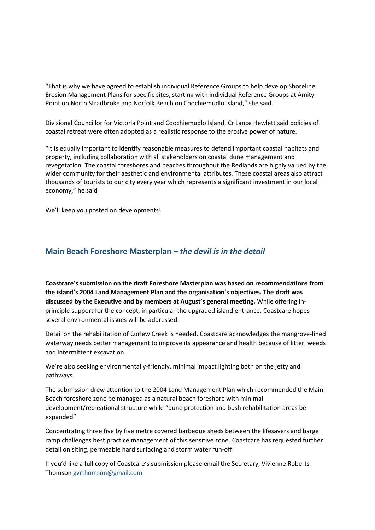"That is why we have agreed to establish individual Reference Groups to help develop Shoreline Erosion Management Plans for specific sites, starting with individual Reference Groups at Amity Point on North Stradbroke and Norfolk Beach on Coochiemudlo Island," she said.

Divisional Councillor for Victoria Point and Coochiemudlo Island, Cr Lance Hewlett said policies of coastal retreat were often adopted as a realistic response to the erosive power of nature.

"It is equally important to identify reasonable measures to defend important coastal habitats and property, including collaboration with all stakeholders on coastal dune management and revegetation. The coastal foreshores and beaches throughout the Redlands are highly valued by the wider community for their aesthetic and environmental attributes. These coastal areas also attract thousands of tourists to our city every year which represents a significant investment in our local economy," he said

We'll keep you posted on developments!

#### **Main Beach Foreshore Masterplan –** *the devil is in the detail*

**Coastcare's submission on the draft Foreshore Masterplan was based on recommendations from the island's 2004 Land Management Plan and the organisation's objectives. The draft was discussed by the Executive and by members at August's general meeting.** While offering inprinciple support for the concept, in particular the upgraded island entrance, Coastcare hopes several environmental issues will be addressed.

Detail on the rehabilitation of Curlew Creek is needed. Coastcare acknowledges the mangrove-lined waterway needs better management to improve its appearance and health because of litter, weeds and intermittent excavation.

We're also seeking environmentally-friendly, minimal impact lighting both on the jetty and pathways.

The submission drew attention to the 2004 Land Management Plan which recommended the Main Beach foreshore zone be managed as a natural beach foreshore with minimal development/recreational structure while "dune protection and bush rehabilitation areas be expanded"

Concentrating three five by five metre covered barbeque sheds between the lifesavers and barge ramp challenges best practice management of this sensitive zone. Coastcare has requested further detail on siting, permeable hard surfacing and storm water run-off.

If you'd like a full copy of Coastcare's submission please email the Secretary, Vivienne Roberts-Thomson [gvrthomson@gmail.com](mailto:gvrthomson@gmail.com)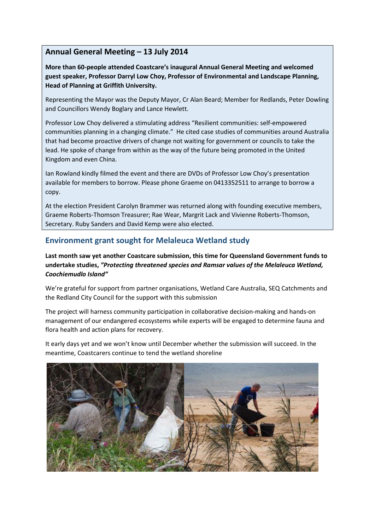### **Annual General Meeting – 13 July 2014**

**More than 60-people attended Coastcare's inaugural Annual General Meeting and welcomed guest speaker, Professor Darryl Low Choy, Professor of Environmental and Landscape Planning, Head of Planning at Griffith University.**

Representing the Mayor was the Deputy Mayor, Cr Alan Beard; Member for Redlands, Peter Dowling and Councillors Wendy Boglary and Lance Hewlett.

Professor Low Choy delivered a stimulating address "Resilient communities: self-empowered communities planning in a changing climate." He cited case studies of communities around Australia that had become proactive drivers of change not waiting for government or councils to take the lead. He spoke of change from within as the way of the future being promoted in the United Kingdom and even China.

Ian Rowland kindly filmed the event and there are DVDs of Professor Low Choy's presentation available for members to borrow. Please phone Graeme on 0413352511 to arrange to borrow a copy.

At the election President Carolyn Brammer was returned along with founding executive members, Graeme Roberts-Thomson Treasurer; Rae Wear, Margrit Lack and Vivienne Roberts-Thomson, Secretary. Ruby Sanders and David Kemp were also elected.

### **Environment grant sought for Melaleuca Wetland study**

**Last month saw yet another Coastcare submission, this time for Queensland Government funds to undertake studies,** *"Protecting threatened species and Ramsar values of the Melaleuca Wetland, Coochiemudlo Island"*

We're grateful for support from partner organisations, Wetland Care Australia, SEQ Catchments and the Redland City Council for the support with this submission

The project will harness community participation in collaborative decision-making and hands-on management of our endangered ecosystems while experts will be engaged to determine fauna and flora health and action plans for recovery.

It early days yet and we won't know until December whether the submission will succeed. In the meantime, Coastcarers continue to tend the wetland shoreline

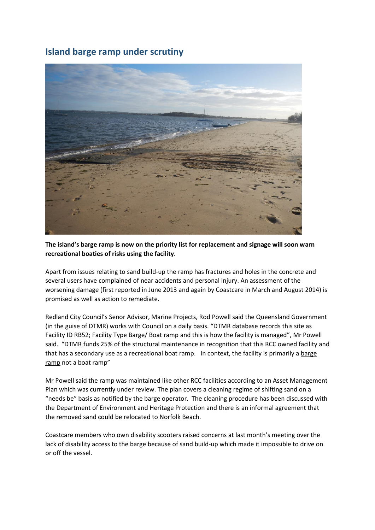## **Island barge ramp under scrutiny**



**The island's barge ramp is now on the priority list for replacement and signage will soon warn recreational boaties of risks using the facility.** 

Apart from issues relating to sand build-up the ramp has fractures and holes in the concrete and several users have complained of near accidents and personal injury. An assessment of the worsening damage (first reported in June 2013 and again by Coastcare in March and August 2014) is promised as well as action to remediate.

Redland City Council's Senor Advisor, Marine Projects, Rod Powell said the Queensland Government (in the guise of DTMR) works with Council on a daily basis. "DTMR database records this site as Facility ID RB52; Facility Type Barge/ Boat ramp and this is how the facility is managed", Mr Powell said. "DTMR funds 25% of the structural maintenance in recognition that this RCC owned facility and that has a secondary use as a recreational boat ramp. In context, the facility is primarily a barge ramp not a boat ramp"

Mr Powell said the ramp was maintained like other RCC facilities according to an Asset Management Plan which was currently under review. The plan covers a cleaning regime of shifting sand on a "needs be" basis as notified by the barge operator. The cleaning procedure has been discussed with the Department of Environment and Heritage Protection and there is an informal agreement that the removed sand could be relocated to Norfolk Beach.

Coastcare members who own disability scooters raised concerns at last month's meeting over the lack of disability access to the barge because of sand build-up which made it impossible to drive on or off the vessel.